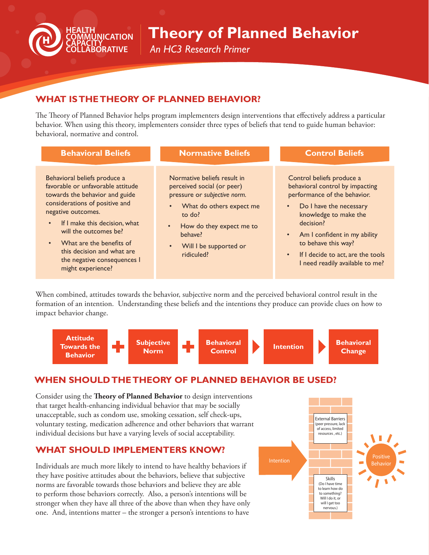

# **Theory of Planned Behavior**

*An HC3 Research Primer*

## **WHAT IS THE THEORY OF PLANNED BEHAVIOR?**

The Theory of Planned Behavior helps program implementers design interventions that effectively address a particular behavior. When using this theory, implementers consider three types of beliefs that tend to guide human behavior: behavioral, normative and control.

| <b>Behavioral Beliefs</b>                                                                                                                                                                                                                                                                                                                                     | <b>Normative Beliefs</b>                                                                                                                                                                                                    | <b>Control Beliefs</b>                                                                                                                                                                                                                                                                                                   |
|---------------------------------------------------------------------------------------------------------------------------------------------------------------------------------------------------------------------------------------------------------------------------------------------------------------------------------------------------------------|-----------------------------------------------------------------------------------------------------------------------------------------------------------------------------------------------------------------------------|--------------------------------------------------------------------------------------------------------------------------------------------------------------------------------------------------------------------------------------------------------------------------------------------------------------------------|
| Behavioral beliefs produce a<br>favorable or unfavorable attitude<br>towards the behavior and guide<br>considerations of positive and<br>negative outcomes.<br>If I make this decision, what<br>$\bullet$<br>will the outcomes be?<br>What are the benefits of<br>$\bullet$<br>this decision and what are<br>the negative consequences I<br>might experience? | Normative beliefs result in<br>perceived social (or peer)<br>pressure or subjective norm.<br>What do others expect me<br>to do?<br>How do they expect me to<br>$\bullet$<br>behave?<br>Will I be supported or<br>ridiculed? | Control beliefs produce a<br>behavioral control by impacting<br>performance of the behavior.<br>• Do I have the necessary<br>knowledge to make the<br>decision?<br>Am I confident in my ability<br>$\bullet$<br>to behave this way?<br>If I decide to act, are the tools<br>$\bullet$<br>I need readily available to me? |

When combined, attitudes towards the behavior, subjective norm and the perceived behavioral control result in the formation of an intention. Understanding these beliefs and the intentions they produce can provide clues on how to impact behavior change.



### **WHEN SHOULD THE THEORY OF PLANNED BEHAVIOR BE USED?**

Consider using the **Theory of Planned Behavior** to design interventions that target health-enhancing individual behavior that may be socially unacceptable, such as condom use, smoking cessation, self check-ups, voluntary testing, medication adherence and other behaviors that warrant individual decisions but have a varying levels of social acceptability.

#### **WHAT SHOULD IMPLEMENTERS KNOW?**

Individuals are much more likely to intend to have healthy behaviors if they have positive attitudes about the behaviors, believe that subjective norms are favorable towards those behaviors and believe they are able to perform those behaviors correctly. Also, a person's intentions will be stronger when they have all three of the above than when they have only one. And, intentions matter – the stronger a person's intentions to have